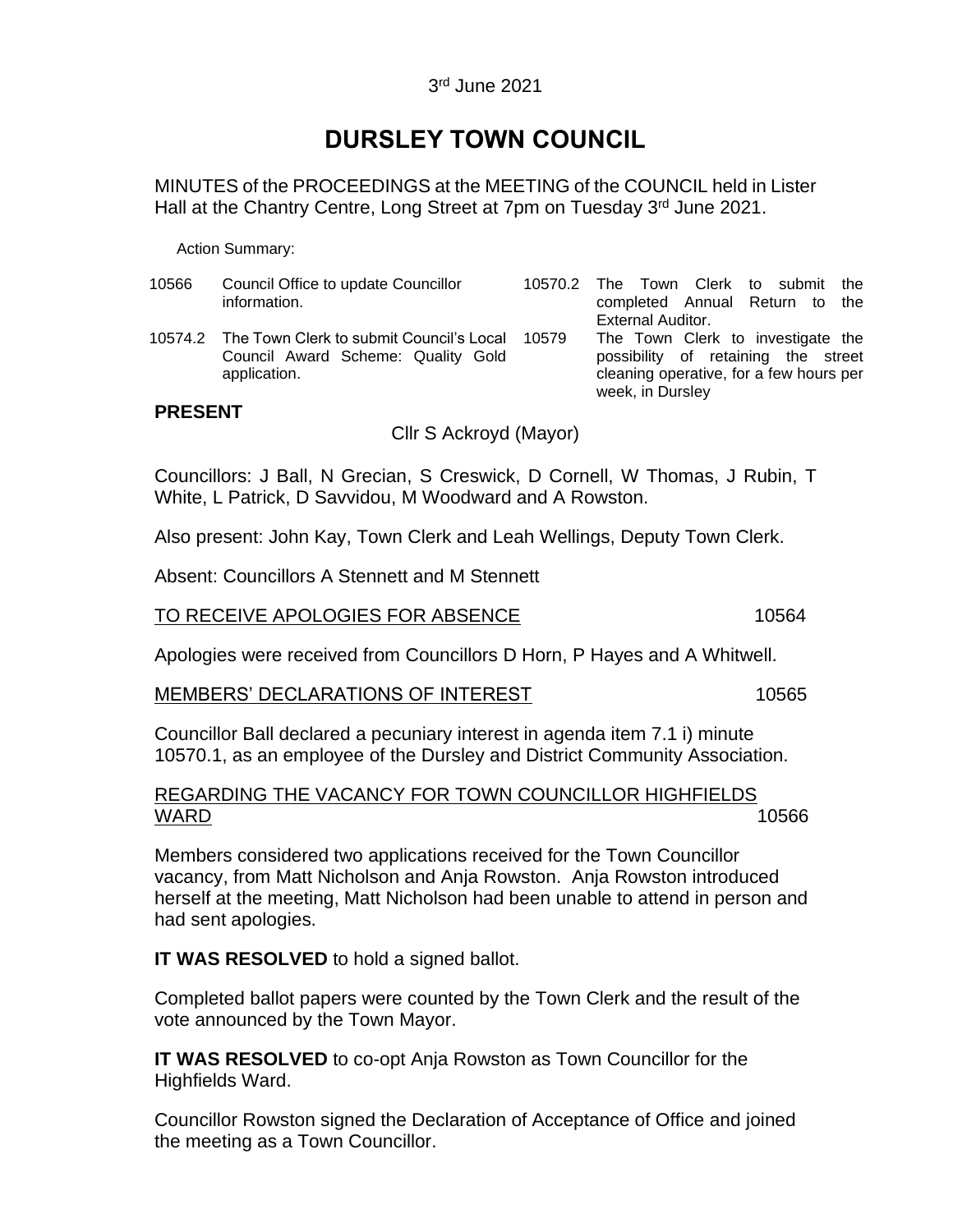# **DURSLEY TOWN COUNCIL**

MINUTES of the PROCEEDINGS at the MEETING of the COUNCIL held in Lister Hall at the Chantry Centre, Long Street at 7pm on Tuesday 3rd June 2021.

Action Summary:

| 10566 | Council Office to update Councillor<br>information.                                                    | 10570.2 | The Town Clerk to submit<br>the<br>completed Annual Return to the<br>External Auditor.                                                  |
|-------|--------------------------------------------------------------------------------------------------------|---------|-----------------------------------------------------------------------------------------------------------------------------------------|
|       | 10574.2 The Town Clerk to submit Council's Local<br>Council Award Scheme: Quality Gold<br>application. | 10579   | The Town Clerk to investigate the<br>possibility of retaining the street<br>cleaning operative, for a few hours per<br>week, in Dursley |

# **PRESENT**

Cllr S Ackroyd (Mayor)

Councillors: J Ball, N Grecian, S Creswick, D Cornell, W Thomas, J Rubin, T White, L Patrick, D Savvidou, M Woodward and A Rowston.

Also present: John Kay, Town Clerk and Leah Wellings, Deputy Town Clerk.

Absent: Councillors A Stennett and M Stennett

# TO RECEIVE APOLOGIES FOR ABSENCE 10564

Apologies were received from Councillors D Horn, P Hayes and A Whitwell.

### MEMBERS' DECLARATIONS OF INTEREST 10565

Councillor Ball declared a pecuniary interest in agenda item 7.1 i) minute 10570.1, as an employee of the Dursley and District Community Association.

# REGARDING THE VACANCY FOR TOWN COUNCILLOR HIGHFIELDS  $\overline{\text{WARD}}$  . The contract of the contract of the contract of the contract of the contract of the contract of the contract of the contract of the contract of the contract of the contract of the contract of the contract of

Members considered two applications received for the Town Councillor vacancy, from Matt Nicholson and Anja Rowston. Anja Rowston introduced herself at the meeting, Matt Nicholson had been unable to attend in person and had sent apologies.

**IT WAS RESOLVED** to hold a signed ballot.

Completed ballot papers were counted by the Town Clerk and the result of the vote announced by the Town Mayor.

**IT WAS RESOLVED** to co-opt Anja Rowston as Town Councillor for the Highfields Ward.

Councillor Rowston signed the Declaration of Acceptance of Office and joined the meeting as a Town Councillor.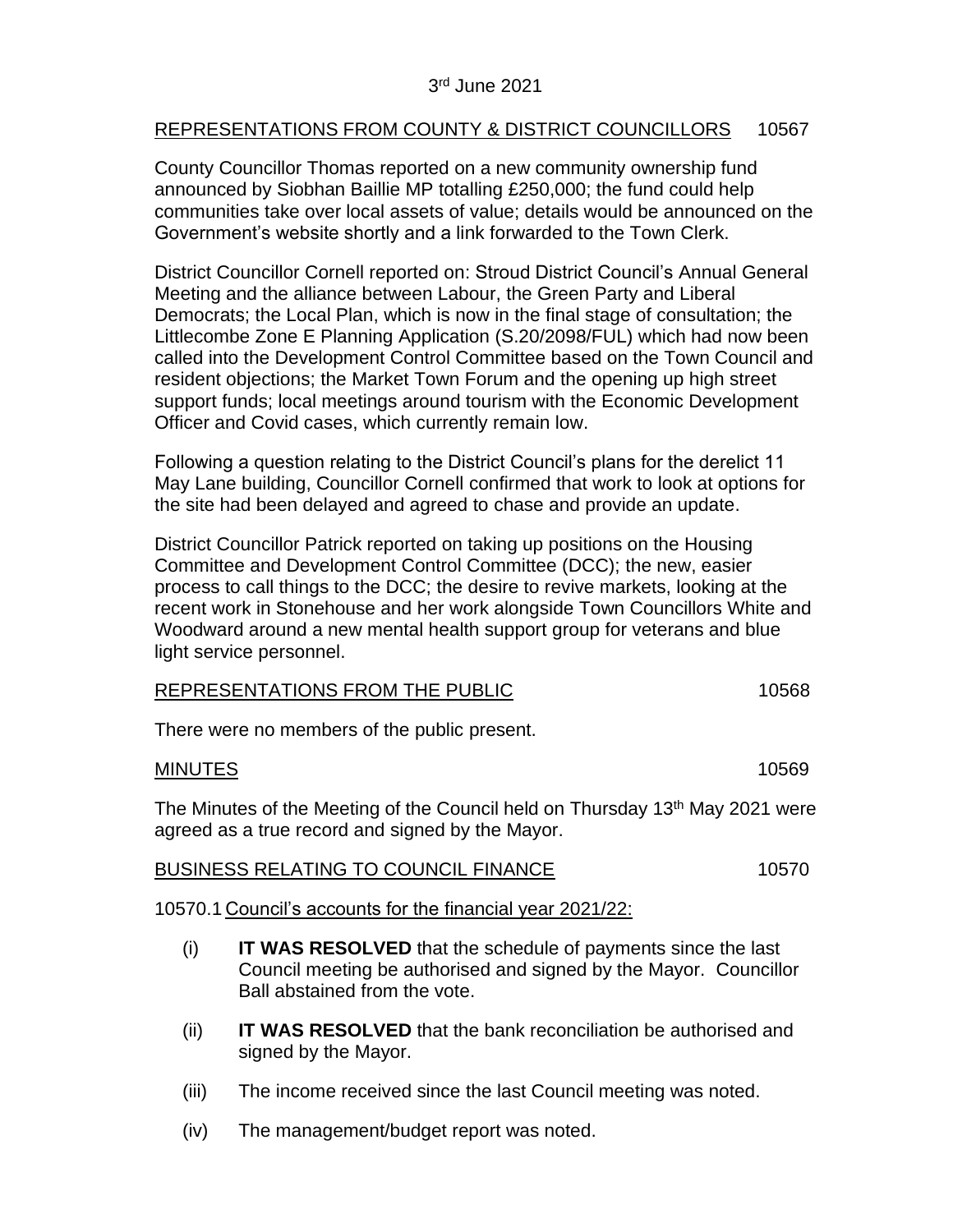# REPRESENTATIONS FROM COUNTY & DISTRICT COUNCILLORS 10567

County Councillor Thomas reported on a new community ownership fund announced by Siobhan Baillie MP totalling £250,000; the fund could help communities take over local assets of value; details would be announced on the Government's website shortly and a link forwarded to the Town Clerk.

District Councillor Cornell reported on: Stroud District Council's Annual General Meeting and the alliance between Labour, the Green Party and Liberal Democrats; the Local Plan, which is now in the final stage of consultation; the Littlecombe Zone E Planning Application (S.20/2098/FUL) which had now been called into the Development Control Committee based on the Town Council and resident objections; the Market Town Forum and the opening up high street support funds; local meetings around tourism with the Economic Development Officer and Covid cases, which currently remain low.

Following a question relating to the District Council's plans for the derelict 11 May Lane building, Councillor Cornell confirmed that work to look at options for the site had been delayed and agreed to chase and provide an update.

District Councillor Patrick reported on taking up positions on the Housing Committee and Development Control Committee (DCC); the new, easier process to call things to the DCC; the desire to revive markets, looking at the recent work in Stonehouse and her work alongside Town Councillors White and Woodward around a new mental health support group for veterans and blue light service personnel.

| REPRESENTATIONS FROM THE PUBLIC | 10568 |
|---------------------------------|-------|
|                                 |       |

There were no members of the public present.

### MINUTES 10569

The Minutes of the Meeting of the Council held on Thursday 13<sup>th</sup> May 2021 were agreed as a true record and signed by the Mayor.

| <b>BUSINESS RELATING TO COUNCIL FINANCE</b> | 10570 |
|---------------------------------------------|-------|
|                                             |       |

10570.1 Council's accounts for the financial year 2021/22:

- (i) **IT WAS RESOLVED** that the schedule of payments since the last Council meeting be authorised and signed by the Mayor. Councillor Ball abstained from the vote.
- (ii) **IT WAS RESOLVED** that the bank reconciliation be authorised and signed by the Mayor.
- (iii) The income received since the last Council meeting was noted.
- (iv) The management/budget report was noted.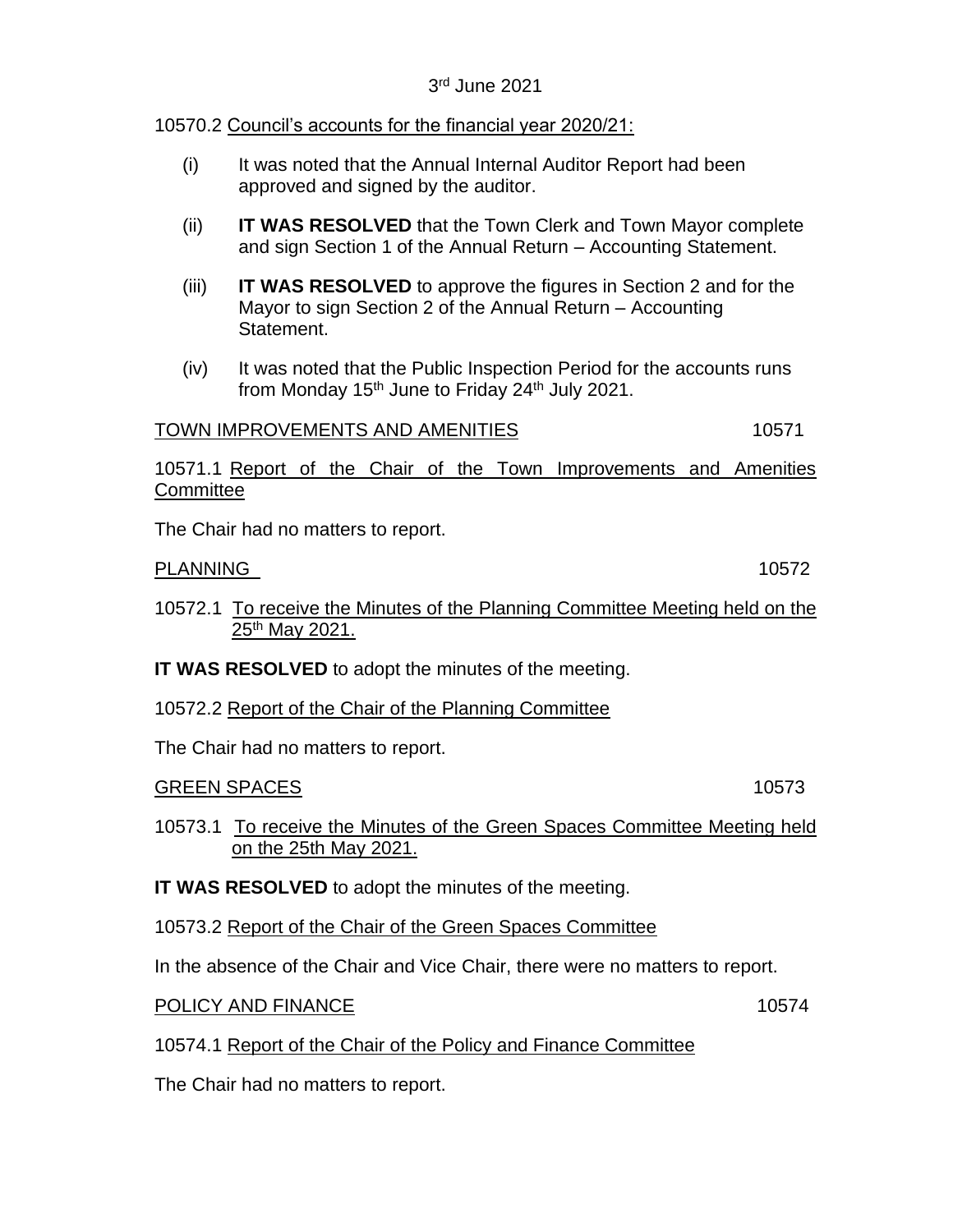# 3 rd June 2021

# 10570.2 Council's accounts for the financial year 2020/21:

- (i) It was noted that the Annual Internal Auditor Report had been approved and signed by the auditor.
- (ii) **IT WAS RESOLVED** that the Town Clerk and Town Mayor complete and sign Section 1 of the Annual Return – Accounting Statement.
- (iii) **IT WAS RESOLVED** to approve the figures in Section 2 and for the Mayor to sign Section 2 of the Annual Return – Accounting **Statement**
- (iv) It was noted that the Public Inspection Period for the accounts runs from Monday  $15<sup>th</sup>$  June to Friday 24<sup>th</sup> July 2021.

# TOWN IMPROVEMENTS AND AMENITIES 10571

10571.1 Report of the Chair of the Town Improvements and Amenities **Committee** 

The Chair had no matters to report.

# PLANNING 10572

- 10572.1 To receive the Minutes of the Planning Committee Meeting held on the  $25<sup>th</sup>$  May 2021.
- **IT WAS RESOLVED** to adopt the minutes of the meeting.
- 10572.2 Report of the Chair of the Planning Committee

The Chair had no matters to report.

# GREEN SPACES 10573

10573.1 To receive the Minutes of the Green Spaces Committee Meeting held on the 25th May 2021.

**IT WAS RESOLVED** to adopt the minutes of the meeting.

10573.2 Report of the Chair of the Green Spaces Committee

In the absence of the Chair and Vice Chair, there were no matters to report.

POLICY AND FINANCE 10574

10574.1 Report of the Chair of the Policy and Finance Committee

The Chair had no matters to report.